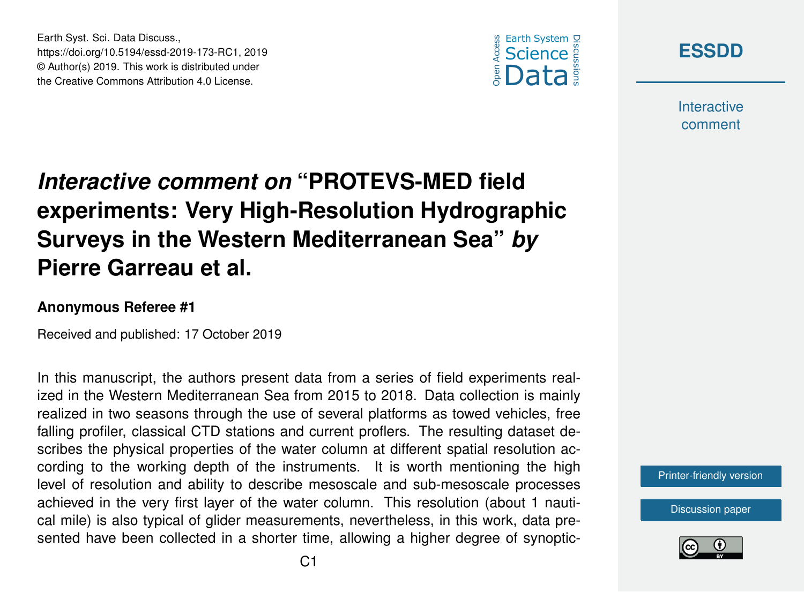

**[ESSDD](https://www.earth-syst-sci-data-discuss.net/)**

**Interactive** comment

## *Interactive comment on* **"PROTEVS-MED field experiments: Very High-Resolution Hydrographic Surveys in the Western Mediterranean Sea"** *by* **Pierre Garreau et al.**

## **Anonymous Referee #1**

Earth Syst. Sci. Data Discuss.,

https://doi.org/10.5194/essd-2019-173-RC1, 2019 © Author(s) 2019. This work is distributed under the Creative Commons Attribution 4.0 License.

Received and published: 17 October 2019

In this manuscript, the authors present data from a series of field experiments realized in the Western Mediterranean Sea from 2015 to 2018. Data collection is mainly realized in two seasons through the use of several platforms as towed vehicles, free falling profiler, classical CTD stations and current proflers. The resulting dataset describes the physical properties of the water column at different spatial resolution according to the working depth of the instruments. It is worth mentioning the high level of resolution and ability to describe mesoscale and sub-mesoscale processes achieved in the very first layer of the water column. This resolution (about 1 nautical mile) is also typical of glider measurements, nevertheless, in this work, data presented have been collected in a shorter time, allowing a higher degree of synoptic-

[Printer-friendly version](https://www.earth-syst-sci-data-discuss.net/essd-2019-173/essd-2019-173-RC1-print.pdf)

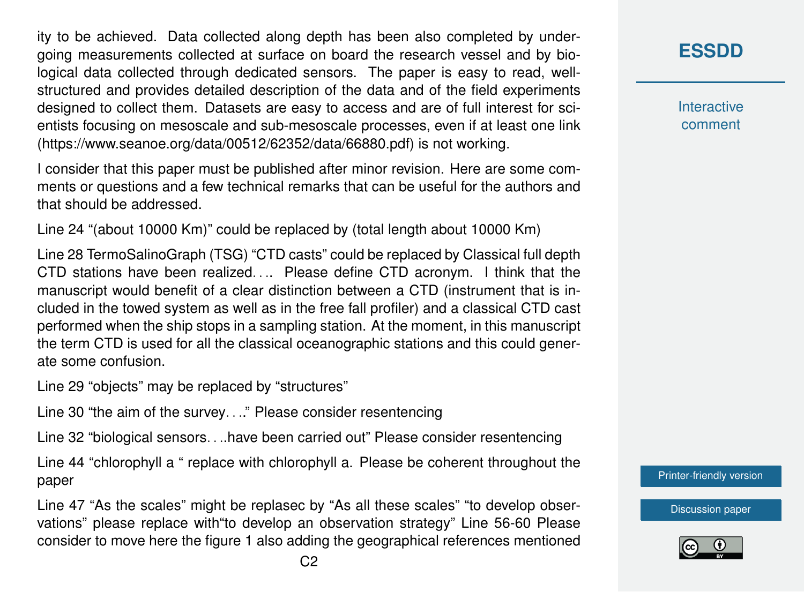ity to be achieved. Data collected along depth has been also completed by undergoing measurements collected at surface on board the research vessel and by biological data collected through dedicated sensors. The paper is easy to read, wellstructured and provides detailed description of the data and of the field experiments designed to collect them. Datasets are easy to access and are of full interest for scientists focusing on mesoscale and sub-mesoscale processes, even if at least one link (https://www.seanoe.org/data/00512/62352/data/66880.pdf) is not working.

I consider that this paper must be published after minor revision. Here are some comments or questions and a few technical remarks that can be useful for the authors and that should be addressed.

Line 24 "(about 10000 Km)" could be replaced by (total length about 10000 Km)

Line 28 TermoSalinoGraph (TSG) "CTD casts" could be replaced by Classical full depth CTD stations have been realized.... Please define CTD acronym. I think that the manuscript would benefit of a clear distinction between a CTD (instrument that is included in the towed system as well as in the free fall profiler) and a classical CTD cast performed when the ship stops in a sampling station. At the moment, in this manuscript the term CTD is used for all the classical oceanographic stations and this could generate some confusion.

Line 29 "objects" may be replaced by "structures"

Line 30 "the aim of the survey. . .." Please consider resentencing

Line 32 "biological sensors. . ..have been carried out" Please consider resentencing

Line 44 "chlorophyll a " replace with chlorophyll a. Please be coherent throughout the paper

Line 47 "As the scales" might be replasec by "As all these scales" "to develop observations" please replace with"to develop an observation strategy" Line 56-60 Please consider to move here the figure 1 also adding the geographical references mentioned

**Interactive** comment

[Printer-friendly version](https://www.earth-syst-sci-data-discuss.net/essd-2019-173/essd-2019-173-RC1-print.pdf)

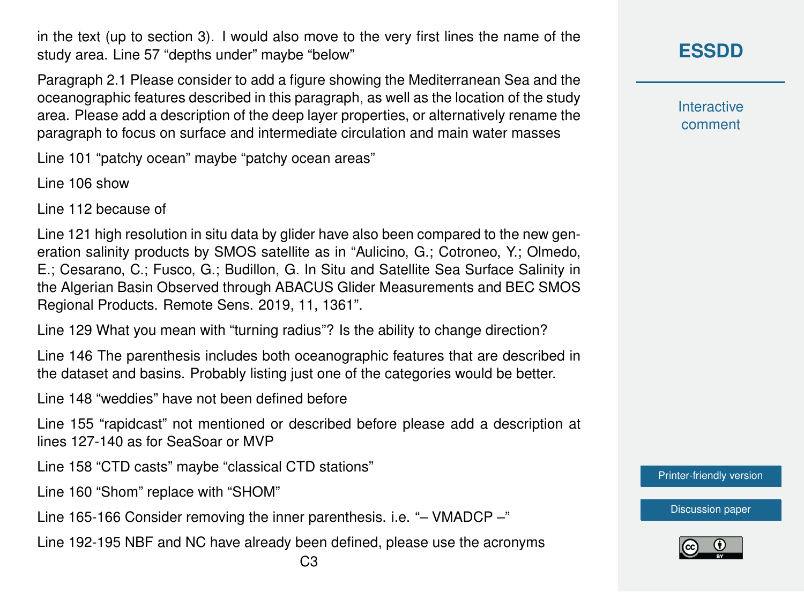in the text (up to section 3). I would also move to the very first lines the name of the study area. Line 57 "depths under" maybe "below"

Paragraph 2.1 Please consider to add a figure showing the Mediterranean Sea and the oceanographic features described in this paragraph, as well as the location of the study area. Please add a description of the deep layer properties, or alternatively rename the paragraph to focus on surface and intermediate circulation and main water masses

Line 101 "patchy ocean" maybe "patchy ocean areas"

Line 106 show

Line 112 because of

Line 121 high resolution in situ data by glider have also been compared to the new generation salinity products by SMOS satellite as in "Aulicino, G.; Cotroneo, Y.; Olmedo, E.; Cesarano, C.; Fusco, G.; Budillon, G. In Situ and Satellite Sea Surface Salinity in the Algerian Basin Observed through ABACUS Glider Measurements and BEC SMOS Regional Products. Remote Sens. 2019, 11, 1361".

Line 129 What you mean with "turning radius"? Is the ability to change direction?

Line 146 The parenthesis includes both oceanographic features that are described in the dataset and basins. Probably listing just one of the categories would be better.

Line 148 "weddies" have not been defined before

Line 155 "rapidcast" not mentioned or described before please add a description at lines 127-140 as for SeaSoar or MVP

Line 158 "CTD casts" maybe "classical CTD stations"

Line 160 "Shom" replace with "SHOM"

Line 165-166 Consider removing the inner parenthesis. i.e. "– VMADCP –"

Line 192-195 NBF and NC have already been defined, please use the acronyms

**Interactive** comment

[Printer-friendly version](https://www.earth-syst-sci-data-discuss.net/essd-2019-173/essd-2019-173-RC1-print.pdf)

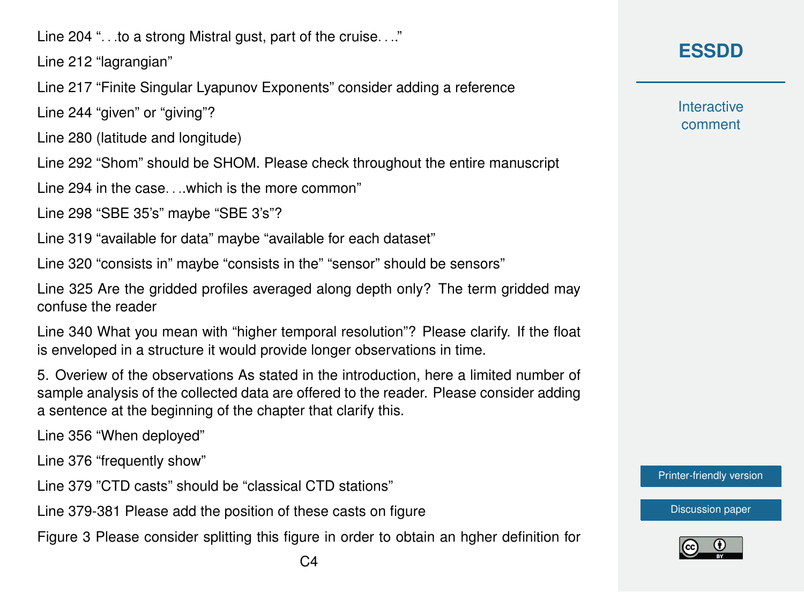Line 204 ". . .to a strong Mistral gust, part of the cruise. . .."

Line 212 "lagrangian"

Line 217 "Finite Singular Lyapunov Exponents" consider adding a reference

Line 244 "given" or "giving"?

Line 280 (latitude and longitude)

Line 292 "Shom" should be SHOM. Please check throughout the entire manuscript

Line 294 in the case. . ..which is the more common"

Line 298 "SBE 35's" maybe "SBE 3's"?

Line 319 "available for data" maybe "available for each dataset"

Line 320 "consists in" maybe "consists in the" "sensor" should be sensors"

Line 325 Are the gridded profiles averaged along depth only? The term gridded may confuse the reader

Line 340 What you mean with "higher temporal resolution"? Please clarify. If the float is enveloped in a structure it would provide longer observations in time.

5. Overiew of the observations As stated in the introduction, here a limited number of sample analysis of the collected data are offered to the reader. Please consider adding a sentence at the beginning of the chapter that clarify this.

Line 356 "When deployed"

Line 376 "frequently show"

Line 379 "CTD casts" should be "classical CTD stations"

Line 379-381 Please add the position of these casts on figure

Figure 3 Please consider splitting this figure in order to obtain an hgher definition for

**Interactive** comment

[Printer-friendly version](https://www.earth-syst-sci-data-discuss.net/essd-2019-173/essd-2019-173-RC1-print.pdf)